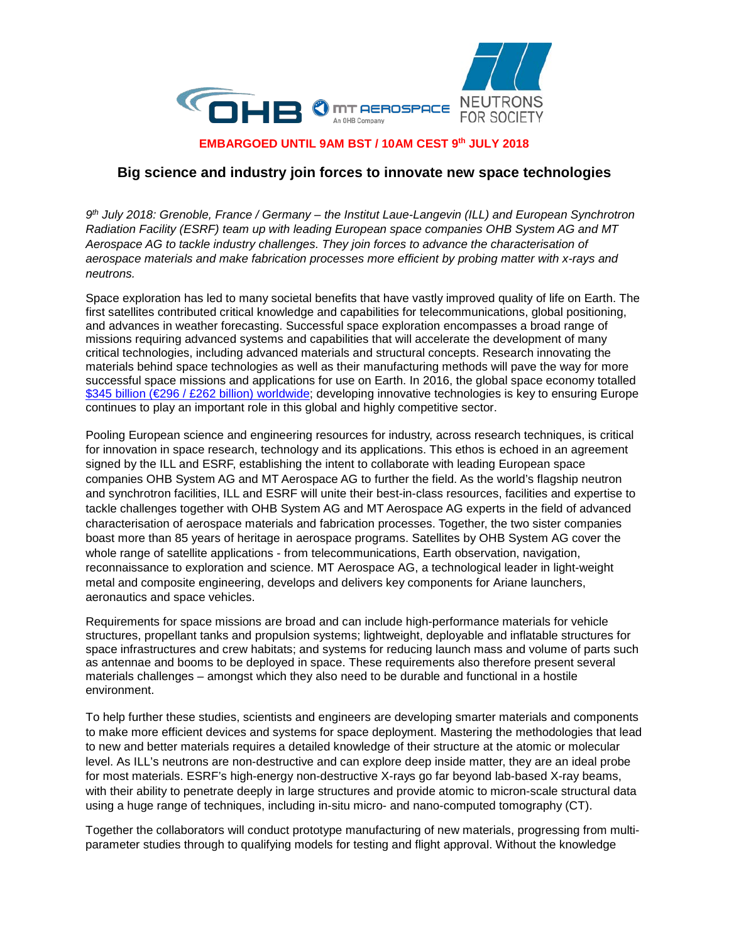

## **EMBARGOED UNTIL 9AM BST / 10AM CEST 9th JULY 2018**

## **Big science and industry join forces to innovate new space technologies**

*9th July 2018: Grenoble, France / Germany – the Institut Laue-Langevin (ILL) and European Synchrotron Radiation Facility (ESRF) team up with leading European space companies OHB System AG and MT Aerospace AG to tackle industry challenges. They join forces to advance the characterisation of aerospace materials and make fabrication processes more efficient by probing matter with x-rays and neutrons.*

Space exploration has led to many societal benefits that have vastly improved quality of life on Earth. The first satellites contributed critical knowledge and capabilities for telecommunications, global positioning, and advances in weather forecasting. Successful space exploration encompasses a broad range of missions requiring advanced systems and capabilities that will accelerate the development of many critical technologies, including advanced materials and structural concepts. Research innovating the materials behind space technologies as well as their manufacturing methods will pave the way for more successful space missions and applications for use on Earth. In 2016, the global space economy totalled \$345 billion [\(€296 / £262 billion\)](https://www.industry.gov.au/industry/IndustrySectors/space/Documents/BRYCE-Australia-Global-Space-Industry-Dynamics-Paper.pdf) worldwide; developing innovative technologies is key to ensuring Europe continues to play an important role in this global and highly competitive sector.

Pooling European science and engineering resources for industry, across research techniques, is critical for innovation in space research, technology and its applications. This ethos is echoed in an agreement signed by the ILL and ESRF, establishing the intent to collaborate with leading European space companies OHB System AG and MT Aerospace AG to further the field. As the world's flagship neutron and synchrotron facilities, ILL and ESRF will unite their best-in-class resources, facilities and expertise to tackle challenges together with OHB System AG and MT Aerospace AG experts in the field of advanced characterisation of aerospace materials and fabrication processes. Together, the two sister companies boast more than 85 years of heritage in aerospace programs. Satellites by OHB System AG cover the whole range of satellite applications - from telecommunications, Earth observation, navigation, reconnaissance to exploration and science. MT Aerospace AG, a technological leader in light-weight metal and composite engineering, develops and delivers key components for Ariane launchers, aeronautics and space vehicles.

Requirements for space missions are broad and can include high-performance materials for vehicle structures, propellant tanks and propulsion systems; lightweight, deployable and inflatable structures for space infrastructures and crew habitats; and systems for reducing launch mass and volume of parts such as antennae and booms to be deployed in space. These requirements also therefore present several materials challenges – amongst which they also need to be durable and functional in a hostile environment.

To help further these studies, scientists and engineers are developing smarter materials and components to make more efficient devices and systems for space deployment. Mastering the methodologies that lead to new and better materials requires a detailed knowledge of their structure at the atomic or molecular level. As ILL's neutrons are non-destructive and can explore deep inside matter, they are an ideal probe for most materials. ESRF's high-energy non-destructive X-rays go far beyond lab-based X-ray beams, with their ability to penetrate deeply in large structures and provide atomic to micron-scale structural data using a huge range of techniques, including in-situ micro- and nano-computed tomography (CT).

Together the collaborators will conduct prototype manufacturing of new materials, progressing from multiparameter studies through to qualifying models for testing and flight approval. Without the knowledge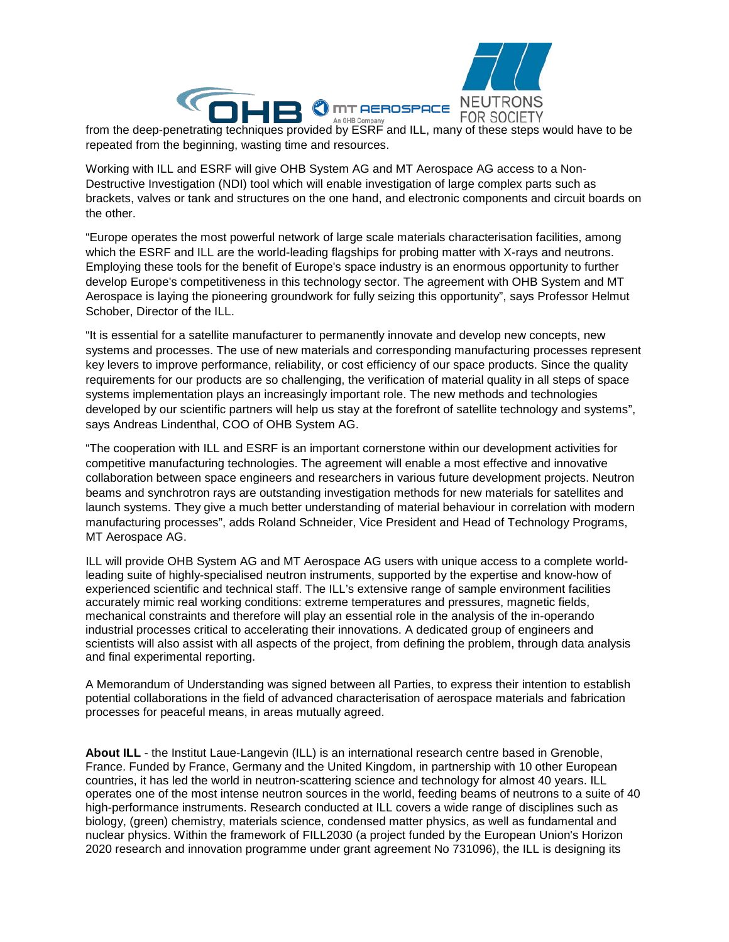

from the deep-penetrating techniques provided by ESRF and ILL, many of these steps would have to be repeated from the beginning, wasting time and resources.

Working with ILL and ESRF will give OHB System AG and MT Aerospace AG access to a Non-Destructive Investigation (NDI) tool which will enable investigation of large complex parts such as brackets, valves or tank and structures on the one hand, and electronic components and circuit boards on the other.

"Europe operates the most powerful network of large scale materials characterisation facilities, among which the ESRF and ILL are the world-leading flagships for probing matter with X-rays and neutrons. Employing these tools for the benefit of Europe's space industry is an enormous opportunity to further develop Europe's competitiveness in this technology sector. The agreement with OHB System and MT Aerospace is laying the pioneering groundwork for fully seizing this opportunity", says Professor Helmut Schober, Director of the ILL.

"It is essential for a satellite manufacturer to permanently innovate and develop new concepts, new systems and processes. The use of new materials and corresponding manufacturing processes represent key levers to improve performance, reliability, or cost efficiency of our space products. Since the quality requirements for our products are so challenging, the verification of material quality in all steps of space systems implementation plays an increasingly important role. The new methods and technologies developed by our scientific partners will help us stay at the forefront of satellite technology and systems", says Andreas Lindenthal, COO of OHB System AG.

"The cooperation with ILL and ESRF is an important cornerstone within our development activities for competitive manufacturing technologies. The agreement will enable a most effective and innovative collaboration between space engineers and researchers in various future development projects. Neutron beams and synchrotron rays are outstanding investigation methods for new materials for satellites and launch systems. They give a much better understanding of material behaviour in correlation with modern manufacturing processes", adds Roland Schneider, Vice President and Head of Technology Programs, MT Aerospace AG.

ILL will provide OHB System AG and MT Aerospace AG users with unique access to a complete worldleading suite of highly-specialised neutron instruments, supported by the expertise and know-how of experienced scientific and technical staff. The ILL's extensive range of sample environment facilities accurately mimic real working conditions: extreme temperatures and pressures, magnetic fields, mechanical constraints and therefore will play an essential role in the analysis of the in-operando industrial processes critical to accelerating their innovations. A dedicated group of engineers and scientists will also assist with all aspects of the project, from defining the problem, through data analysis and final experimental reporting.

A Memorandum of Understanding was signed between all Parties, to express their intention to establish potential collaborations in the field of advanced characterisation of aerospace materials and fabrication processes for peaceful means, in areas mutually agreed.

**About ILL** - the Institut Laue-Langevin (ILL) is an international research centre based in Grenoble, France. Funded by France, Germany and the United Kingdom, in partnership with 10 other European countries, it has led the world in neutron-scattering science and technology for almost 40 years. ILL operates one of the most intense neutron sources in the world, feeding beams of neutrons to a suite of 40 high-performance instruments. Research conducted at ILL covers a wide range of disciplines such as biology, (green) chemistry, materials science, condensed matter physics, as well as fundamental and nuclear physics. Within the framework of FILL2030 (a project funded by the European Union's Horizon 2020 research and innovation programme under grant agreement No 731096), the ILL is designing its